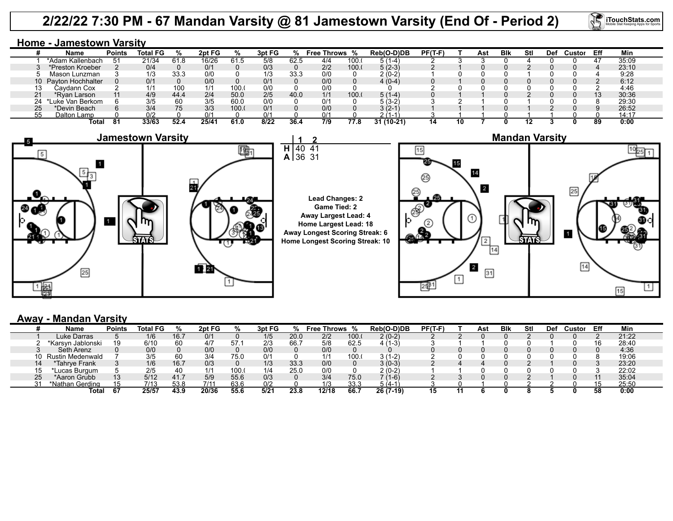## **2/22/22 7:30 PM - 67 Mandan Varsity @ 81 Jamestown Varsity (End Of - Period 2)**

40

**2** 41

**Home - Jamestown Varsity**

|    | Name                 | <b>Points</b> | Total FG | %    | 2pt FG |      | 3pt FG |      | Free Throws | %     | Reb(O-D)DB | $PF(T-F)$ |    | Ast | <b>B</b> lk | Stl | Def | Custor | Eff | Min   |
|----|----------------------|---------------|----------|------|--------|------|--------|------|-------------|-------|------------|-----------|----|-----|-------------|-----|-----|--------|-----|-------|
|    | *Adam Kallenbach     |               | 21/34    | 61.8 | 16/26  | 61.5 | 5/8    | 62.5 | 4/4         | 100.  | (1-4)      |           |    |     |             |     |     |        |     | 35:09 |
|    | *Preston Kroeber     |               | 0/4      |      | 0/1    |      | 0/3    |      | 2/2         | 100.0 | $5(2-3)$   |           |    |     |             |     |     |        |     | 23:10 |
|    | Mason Lunzman        |               | 1/3      | 33.3 | 0/0    |      | 1/3    | 33.3 | 0/0         |       | $2(0-2)$   |           |    |     |             |     |     |        |     | 9:28  |
|    | 10 Payton Hochhalter |               | 0/1      |      | 0/0    |      | 0/1    |      | 0/0         |       | $4(0-4)$   |           |    |     |             |     |     |        |     | 6:12  |
|    | Cavdann Cox          |               |          |      | 1/1    | 100. | 0/0    |      | 0/0         |       |            |           |    |     |             |     |     |        |     | 4:46  |
|    | *Rvan Larson         |               | 4/9      | 44.4 | 2/4    | 50.0 | 2/5    | 40.0 | 1/1         | 100.0 | $5(1-4)$   |           |    |     |             |     |     |        | 10  | 30:36 |
|    | ∟uke Van Berkom      |               | 3/5      | 60   | 3/5    | 60.0 | 0/0    |      | 0/1         |       | $(3-2)$    |           |    |     |             |     |     |        |     | 29:30 |
| 25 | *Devin Beach         |               | 3/4      | 75   | 3/3    | 100. | 0/1    |      | 0/0         |       | $3(2-1)$   |           |    |     |             |     |     |        |     | 26:52 |
| 55 | Dalton Lamp          |               |          |      | 0/1    |      | 0/1    |      | 0/1         |       | $(1 - 1)$  |           |    |     |             |     |     |        |     | 14:17 |
|    | Total                | 81            | 33/63    | 52 A | 25/4'  | 61.0 | 8/22   | 36.4 | 7/9         | 77.8  | 31 (10-21) | 14        | 10 |     |             |     |     |        | 89  | 0:00  |







**iTouchStats.com** 

## **Away - Mandan Varsity**

|     | Name              | <b>Points</b> | <b>Total FG</b> |      | 2pt FG |      | 3pt FG |      | <b>Throws</b><br>Free |      | Reb(O-D)DB | $PF(T-F)$ | Ast | <b>B</b> lk | Stl | Def | Custo <sup>r</sup> | Eff | Min   |  |
|-----|-------------------|---------------|-----------------|------|--------|------|--------|------|-----------------------|------|------------|-----------|-----|-------------|-----|-----|--------------------|-----|-------|--|
|     | Luke Darras       |               | 1/6             | 16.7 | 0/1    |      |        | 20.0 | 2/2                   | 100. | $2(0-2)$   |           |     |             |     |     |                    |     | 21:22 |  |
|     | *Karsyn Jablonski | 19            | 6/10            | 60   | 4/7    | 57.  | 2/3    | 66.  | 5/8                   | 62.5 | -31        |           |     |             |     |     |                    | 16  | 28:40 |  |
|     | Seth Arenz        |               | 0/0             |      | 0/0    |      | 0/0    |      | 0/0                   |      |            |           |     |             |     |     |                    |     | 4:36  |  |
| 10  | Rustin Medenwald  |               | 3/5             | 60   | 3/4    | 75.0 | 0/1    |      | 1/1                   | 100. | ≀2∍،       |           |     |             |     |     |                    |     | 19:06 |  |
| 14  | *Tahrve Frank     |               | 1/6             | 16.7 | 0/3    |      |        | 33.3 | 0/0                   |      | 3 (0-3)    |           |     |             |     |     |                    |     | 23:20 |  |
| ں ا | 'Lucas Burgum     |               | 2/5             | 40   | 414    | 100. | 4 I A  | 25.1 | 0/0                   |      | 2 (0-2     |           |     |             |     |     |                    |     | 22:02 |  |
| 25  | *Aaron Grubb      | 13            | 5/12            | 41.7 | 5/9    | 55.6 | 0/3    |      | 3/4                   | 75.0 | 1-61       |           |     |             |     |     |                    |     | 35:04 |  |
| ົ   | *Nathan Gerding   | 15            | 7/13            | 53.8 | 711'   | 63.6 | 0/2    |      | 1/3                   | 33.3 | 5 (4-1     |           |     |             |     |     |                    |     | 25:50 |  |
|     | Total             | 67            | 25/57           | 43.9 | 20/36  | 55.6 | 5/21   | 23.8 | 12/18                 | 66.7 | 26 (7-19)  | 15        |     |             |     |     |                    | 58  | 0:00  |  |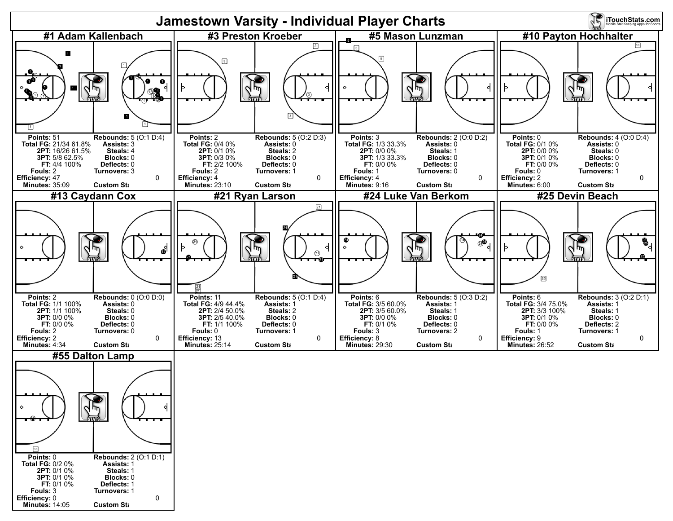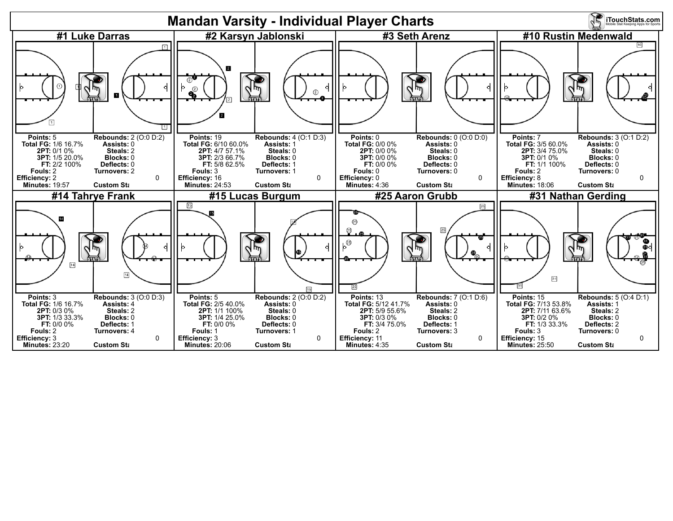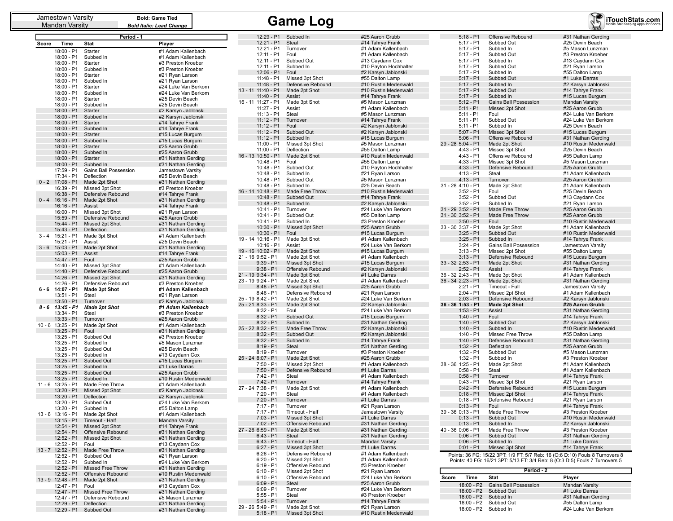| Jamestown varsity |  |
|-------------------|--|
| Mandan Varsity    |  |

|          |                          | Period - 1                           |                                            |
|----------|--------------------------|--------------------------------------|--------------------------------------------|
| Score    | Time                     | Stat                                 | Player                                     |
|          | 18:00 - P1               | Starter                              | #1 Adam Kallenbach                         |
|          | 18:00 - P1               | Subbed In                            | #1 Adam Kallenbach                         |
|          | 18:00 - P1               | Starter                              | #3 Preston Kroeber                         |
|          | 18:00 - P1               | Subbed In                            | #3 Preston Kroeber                         |
|          | 18:00 - P1               | Starter<br>Subbed In                 | #21 Ryan Larson                            |
|          | 18:00 - P1<br>18:00 - P1 | Starter                              | #21 Ryan Larson<br>#24 Luke Van Berkom     |
|          | 18:00 - P1               | Subbed In                            | #24 Luke Van Berkom                        |
|          | 18:00 - P1               | Starter                              | #25 Devin Beach                            |
|          | 18:00 - P1               | Subbed In                            | #25 Devin Beach                            |
|          | 18:00 - P1               | Starter                              | #2 Karsyn Jablonski                        |
|          | 18:00 - P1               | Subbed In                            | #2 Karsyn Jablonski                        |
|          | 18:00 - P1               | Starter                              | #14 Tahrye Frank                           |
|          | 18:00 - P1<br>18:00 - P1 | Subbed In<br>Starter                 | #14 Tahrye Frank<br>#15 Lucas Burgum       |
|          | 18:00 - P1               | Subbed In                            | #15 Lucas Burgum                           |
|          | 18:00 - P1               | Starter                              | #25 Aaron Grubb                            |
|          | 18:00 - P1               | Subbed In                            | #25 Aaron Grubb                            |
|          | 18:00 - P1               | Starter                              | #31 Nathan Gerding                         |
|          | 18:00 - P1               | Subbed In                            | #31 Nathan Gerding                         |
|          | 17:59 - P1<br>17:34 - P1 | Gains Ball Possession<br>Deflection  | Jamestown Varsity<br>#25 Devin Beach       |
| $0 - 2$  | 17:08 - P1               | Made 2pt Shot                        | #31 Nathan Gerding                         |
|          | 16:39 - P1               | Missed 3pt Shot                      | #3 Preston Kroeber                         |
|          | 16:38 - P1               | Defensive Rebound                    | #14 Tahrye Frank                           |
| $0 - 4$  | $16:16 - P1$             | Made 2pt Shot                        | #31 Nathan Gerding                         |
|          | 16:16 - P1               | Assist                               | #14 Tahrye Frank                           |
|          | 16:00 - P1               | Missed 3pt Shot                      | #21 Ryan Larson                            |
|          | 15:59 - P1<br>15:44 - P1 | Defensive Rebound<br>Missed 2pt Shot | #25 Aaron Grubb                            |
|          | 15:43 - P1               | Deflection                           | #31 Nathan Gerding<br>#31 Nathan Gerding   |
| 3 - 4    | 15:21 - P1               | Made 3pt Shot                        | #1 Adam Kallenbach                         |
|          | 15:21 - P1               | Assist                               | #25 Devin Beach                            |
| 3 - 6    | 15:03 - P1               | Made 2pt Shot                        | #31 Nathan Gerding                         |
|          | 15:03 - P1               | Assist                               | #14 Tahrye Frank                           |
|          | 14:47 - P1<br>14:40 - P1 | Foul                                 | #25 Aaron Grubb<br>#1 Adam Kallenbach      |
|          | 14:40 - P1               | Missed 3pt Shot<br>Defensive Rebound | #25 Aaron Grubb                            |
|          | 14:26 - P1               | Missed 2pt Shot                      | #31 Nathan Gerding                         |
|          | 14:26 - P1               | Defensive Rebound                    | #3 Preston Kroeber                         |
| $6 - 6$  | 14:07 - P1               | <b>Made 3pt Shot</b>                 | #1 Adam Kallenbach                         |
|          | 13:51 - P1               | Steal                                | #21 Ryan Larson                            |
| 8 - 6    | 13:50 - P1<br>13:45 - P1 | Turnover                             | #2 Karsyn Jablonski<br>#1 Adam Kallenbach  |
|          | 13:34 - P1               | Made 2pt Shot<br>Steal               | #3 Preston Kroeber                         |
|          | $13:33 - P1$             | Turnover                             | #25 Aaron Grubb                            |
| 10 - 6   | $13:25 - P1$             | Made 2pt Shot                        | #1 Adam Kallenbach                         |
|          | 13:25 - P1               | Foul                                 | #31 Nathan Gerding                         |
|          | 13:25 - P1               | Subbed Out                           | #3 Preston Kroeber                         |
|          | 13:25 - P1               | Subbed In                            | #5 Mason Lunzman                           |
|          | 13:25 - P1<br>13:25 - P1 | Subbed Out<br>Subbed In              | #25 Devin Beach<br>#13 Caydann Cox         |
|          | $13:25 - P1$             | Subbed Out                           | #15 Lucas Burgum                           |
|          | 13:25 - P1               | Subbed In                            | #1 Luke Darras                             |
|          | 13:25 - P1               | Subbed Out                           | #25 Aaron Grubb                            |
|          | $13:25 - P1$             | Subbed In                            | #10 Rustin Medenwald                       |
| 11 - 6   | 13:25 - P1               | Made Free Throw                      | #1 Adam Kallenbach                         |
|          | 13:20 - P1<br>13:20 - P1 | Missed 2pt Shot<br>Deflection        | #2 Karsyn Jablonski<br>#2 Karsyn Jablonski |
|          | 13:20 - P1               | Subbed Out                           | #24 Luke Van Berkom                        |
|          | 13:20 - P1               | Subbed In                            | #55 Dalton Lamp                            |
| 13 - 6   | 13:16 - P1               | Made 2pt Shot                        | #1 Adam Kallenbach                         |
|          | $13:15 - P1$             | Timeout - Half                       | Mandan Varsity                             |
|          | 12:54 - P1               | Missed 2pt Shot                      | #14 Tahrye Frank                           |
|          | 12:54 - P1               | Offensive Rebound                    | #31 Nathan Gerding                         |
|          | 12:52 - P1<br>12:52 - P1 | Missed 2pt Shot<br>Foul              | #31 Nathan Gerding<br>#13 Caydann Cox      |
| $13 - 7$ | 12:52 - P1               | Made Free Throw                      | #31 Nathan Gerding                         |
|          | 12:52 - P1               | Subbed Out                           | #21 Ryan Larson                            |
|          | 12:52 - P1               | Subbed In                            | #24 Luke Van Berkom                        |
|          | 12:52 - P1               | Missed Free Throw                    | #31 Nathan Gerding                         |
|          | 12:52 - P1               | Offensive Rebound                    | #10 Rustin Medenwald                       |
| $13 - 9$ | 12:48 - P1<br>12:47 - P1 | Made 2pt Shot<br>Foul                | #31 Nathan Gerding                         |
|          | 12:47 - P1               | Missed Free Throw                    | #13 Caydann Cox<br>#31 Nathan Gerding      |
|          | 12:47 - P1               | Defensive Rebound                    | #5 Mason Lunzman                           |
|          | 12:29 - P1               | Deflection                           | #31 Nathan Gerding                         |
|          | 12:29 - P1               | Subbed Out                           | #31 Nathan Gerding                         |

| 12:29 - P1                       | Subbed In               | #25 Aaron Grubb       |
|----------------------------------|-------------------------|-----------------------|
| 12:21 - P1                       | Steal                   | #14 Tahrye Frank      |
|                                  |                         |                       |
| 12:21 - P1                       | Turnover                | #1 Adam Kallenbach    |
| 12:11 - P1                       | Foul                    | #1 Adam Kallenbach    |
| 12:11 - P1                       | Subbed Out              | #13 Caydann Cox       |
| 12:11 - P1                       | Subbed In               | #10 Payton Hochhalter |
| 12:06 - P1                       | Foul                    | #2 Karsyn Jablonski   |
| 11:48 - P1                       | Missed 3pt Shot         | #55 Dalton Lamp       |
| 11:48 - P1                       | Defensive Rebound       | #10 Rustin Medenwald  |
| 13 - 11 11:40 - P1               | Made 2pt Shot           | #10 Rustin Medenwald  |
| 11:40 - P1                       | Assist                  | #14 Tahrye Frank      |
| 16 - 11 11:27 - P1               | Made 3pt Shot           | #5 Mason Lunzman      |
| 11:27 - P1                       | Assist                  | #1 Adam Kallenbach    |
| 11:13 - P1                       | Steal                   | #5 Mason Lunzman      |
| $11:12 - P1$                     |                         |                       |
|                                  | Turnover                | #14 Tahrye Frank      |
| 11:12 - P1                       | Foul                    | #2 Karsyn Jablonski   |
| 11:12 - P1                       | Subbed Out              | #2 Karsyn Jablonski   |
| 11:12 - P1                       | Subbed In               | #15 Lucas Burgum      |
| 11:00 - P1                       | Missed 3pt Shot         | #5 Mason Lunzman      |
| 11:00 - P1                       | Deflection              | #55 Dalton Lamp       |
| 16 - 13 10:50 - P1               | Made 2pt Shot           | #10 Rustin Medenwald  |
| 10:48 - P1                       | Foul                    | #55 Dalton Lamp       |
| 10:48 - P1                       | Subbed Out              | #10 Payton Hochhalter |
| 10:48 - P1                       | Subbed In               | #21 Ryan Larson       |
| 10:48 - P1                       | Subbed Out              | #5 Mason Lunzman      |
| 10:48 - P1                       | Subbed In               | #25 Devin Beach       |
| 16 - 14 10:48 - P1               | Made Free Throw         | #10 Rustin Medenwald  |
| 10:48 - P1                       | Subbed Out              | #14 Tahrye Frank      |
| 10:48 - P1                       | Subbed In               | #2 Karsyn Jablonski   |
| 10:41 - P1                       | Turnover                | #24 Luke Van Berkom   |
| 10:41 - P1                       | Subbed Out              | #55 Dalton Lamp       |
| 10:41 - P1                       | Subbed In               | #3 Preston Kroeber    |
| 10:30 - P1                       | Missed 3pt Shot         | #25 Aaron Grubb       |
| 10:30 - P1                       | Foul                    | #15 Lucas Burgum      |
| 19 - 14 10:16 - P1               |                         | #1 Adam Kallenbach    |
| $10:16 - P1$                     | Made 3pt Shot<br>Assist | #24 Luke Van Berkom   |
|                                  |                         |                       |
| 19 - 16 10:02 - P1               | Made 2pt Shot           | #15 Lucas Burgum      |
| 21 - 16 9:52 - P1<br>$9:39 - P1$ | Made 2pt Shot           | #1 Adam Kallenbach    |
|                                  | Missed 3pt Shot         | #15 Lucas Burgum      |
| $9:38 - P1$                      | Offensive Rebound       | #2 Karsyn Jablonski   |
| 21 - 19 9:34 - P1                | Made 3pt Shot           | #1 Luke Darras        |
| 23 - 19 9:24 - P1                | Made 2pt Shot           | #1 Adam Kallenbach    |
| $8:48 - P1$                      | Missed 3pt Shot         | #25 Aaron Grubb       |
| 8:46 - P1                        | Defensive Rebound       | #21 Ryan Larson       |
| 25 - 19 8:42 - P1                | Made 2pt Shot           | #24 Luke Van Berkom   |
| 25 - 21 8:33 - P1                | Made 2pt Shot           | #2 Karsyn Jablonski   |
| $8:32 - P1$                      | Foul                    | #24 Luke Van Berkom   |
| $8:32 - P1$                      | Subbed Out              | #15 Lucas Burgum      |
| $8:32 - P1$                      | Subbed In               | #31 Nathan Gerding    |
| 25 - 22 8:32 - P1                | Made Free Throw         | #2 Karsyn Jablonski   |
| $8:32 - P1$                      | Subbed Out              | #2 Karsyn Jablonski   |
| $8:32 - P1$                      | Subbed In               | #14 Tahrye Frank      |
| $8:19 - P1$                      | Steal                   | #31 Nathan Gerding    |
| 8:19 - P1                        | Turnover                | #3 Preston Kroeber    |
| 25 - 24 8:07 - P1                | Made 2pt Shot           | #25 Aaron Grubb       |
| $7:50 - P1$                      | Missed 2pt Shot         | #1 Adam Kallenbach    |
| $7:50 - P1$                      | Defensive Rebound       | #1 Luke Darras        |
| 7:42 - P1                        | Steal                   | #1 Adam Kallenbach    |
| $7:42 - P1$                      | Turnover                | #14 Tahrye Frank      |
| 27 - 24 7:38 - P1                | Made 2pt Shot           | #1 Adam Kallenbach    |
| $7:20 - P1$                      | Steal                   | #1 Adam Kallenbach    |
| $7:20 - P1$                      | Turnover                | #1 Luke Darras        |
| $7:17 - P1$                      | Turnover                | #21 Ryan Larson       |
| 7:17 - P1                        | Timeout - Half          | Jamestown Varsity     |
| $7:03 - P1$                      | Missed 3pt Shot         | #1 Luke Darras        |
| $7:02 - P1$                      | Offensive Rebound       | #31 Nathan Gerding    |
| 27 - 26 6:59 - P1                | Made 2pt Shot           | #31 Nathan Gerding    |
|                                  | Steal                   | #31 Nathan Gerding    |
| $6:43 - P1$                      |                         |                       |
| $6:43 - P1$                      | Timeout - Half          | Mandan Varsity        |
| $6:27 - P1$                      | Missed 3pt Shot         | #1 Luke Darras        |
| $6:26 - P1$                      | Defensive Rebound       | #1 Adam Kallenbach    |
| $6:20 - P1$                      | Missed 2pt Shot         | #1 Adam Kallenbach    |
| $6:19 - P1$                      | Offensive Rebound       | #3 Preston Kroeber    |
| $6:10 - P1$                      | Missed 2pt Shot         | #21 Ryan Larson       |
| 6:10 - P1                        | Offensive Rebound       | #24 Luke Van Berkom   |
| $6:09 - P1$                      | Steal                   | #25 Aaron Grubb       |
| $6:09 - P1$                      | Turnover                | #24 Luke Van Berkom   |
| $5:55 - P1$                      | Steal                   | #3 Preston Kroeber    |
| $5:54 - P1$                      | Turnover                | #14 Tahrye Frank      |
| 29 - 26 5:49 - P1                | Made 2pt Shot           | #21 Ryan Larson       |
| $5:18 - P1$                      | Missed 3nt Shot         | #10 Rustin Medenwald  |

|                    | Jamestown Varsity<br><b>Bold: Game Tied</b><br>Mandan Varsity<br><b>Bold Italic: Lead Change</b> |            |                      | <b>Game Log</b>    | iTouchStats.com      |                       |                   |                              |                                                                              |
|--------------------|--------------------------------------------------------------------------------------------------|------------|----------------------|--------------------|----------------------|-----------------------|-------------------|------------------------------|------------------------------------------------------------------------------|
|                    |                                                                                                  | Period - 1 |                      |                    | 12:29 - P1 Subbed In | #25 Aaron Grubb       | $5:18 - P1$       | Offensive Rebound            | #31 Nathan Gerding                                                           |
| Time<br>Score      | Stat                                                                                             |            | Player               | $12:21 - P1$       | Steal                | #14 Tahrye Frank      | $5:17 - P1$       | Subbed Out                   | #25 Devin Beach                                                              |
| 18:00 - P1         | Starter                                                                                          |            | #1 Adam Kallenbach   | 12:21 - P1         | Turnover             | #1 Adam Kallenbach    | $5:17 - P1$       | Subbed In                    | #5 Mason Lunzman                                                             |
| 18:00 - P1         | Subbed In                                                                                        |            | #1 Adam Kallenbach   | 12:11 - P1         | Foul                 | #1 Adam Kallenbach    | $5:17 - P1$       | Subbed Out                   | #3 Preston Kroeber                                                           |
| 18:00 - P1         | Starter                                                                                          |            | #3 Preston Kroeber   | $12:11 - P1$       | Subbed Out           | #13 Caydann Cox       | $5:17 - P1$       | Subbed In                    | #13 Caydann Cox                                                              |
| 18:00 - P1         | Subbed In                                                                                        |            | #3 Preston Kroeber   | 12:11 - P1         | Subbed In            | #10 Payton Hochhalter | $5:17 - P1$       | Subbed Out                   | #21 Ryan Larson                                                              |
| 18:00 - P1         | Starter                                                                                          |            | #21 Ryan Larson      | 12:06 - P1         | Foul                 | #2 Karsyn Jablonski   | $5:17 - P1$       | Subbed In                    | #55 Dalton Lamp                                                              |
| 18:00 - P1         | Subbed In                                                                                        |            | #21 Ryan Larson      | 11:48 - P1         | Missed 3pt Shot      | #55 Dalton Lamp       | $5:17 - P1$       | Subbed Out                   | #1 Luke Darras                                                               |
| 18:00 - P1         | Starter                                                                                          |            | #24 Luke Van Berkom  | $11:48 - P1$       | Defensive Rebound    | #10 Rustin Medenwald  | $5:17 - P1$       | Subbed In                    | #2 Karsyn Jablonski                                                          |
| 18:00 - P1         | Subbed In                                                                                        |            | #24 Luke Van Berkom  | 13 - 11 11:40 - P1 | Made 2pt Shot        | #10 Rustin Medenwald  | $5:17 - P1$       | Subbed Out                   | #14 Tahrye Frank                                                             |
| 18:00 - P1         | Starter                                                                                          |            | #25 Devin Beach      | 11:40 - P1         | Assist               | #14 Tahrye Frank      | $5:17 - P1$       | Subbed In                    | #15 Lucas Burgum                                                             |
| 18:00 - P1         | Subbed In                                                                                        |            | #25 Devin Beach      | 16 - 11 11:27 - P1 | Made 3pt Shot        | #5 Mason Lunzman      | $5:12 - P1$       | <b>Gains Ball Possession</b> | Mandan Varsity                                                               |
| 18:00 - P1         | Starter                                                                                          |            | #2 Karsyn Jablonski  | 11:27 - P1         | Assist               | #1 Adam Kallenbach    | $5:11 - P1$       | Missed 2pt Shot              | #25 Aaron Grubb                                                              |
| 18:00 - P1         | Subbed In                                                                                        |            | #2 Karsyn Jablonski  | $11:13 - P1$       | Steal                | #5 Mason Lunzman      | $5:11 - P1$       | Foul                         | #24 Luke Van Berkom                                                          |
| 18:00 - P1         | Starter                                                                                          |            | #14 Tahrye Frank     | $11:12 - P1$       | Turnover             | #14 Tahrye Frank      | $5:11 - P1$       | Subbed Out                   | #24 Luke Van Berkom                                                          |
| 18:00 - P1         | Subbed In                                                                                        |            | #14 Tahrye Frank     | $11:12 - P1$       | Foul                 | #2 Karsyn Jablonski   | $5:11 - P1$       | Subbed In                    | #25 Devin Beach                                                              |
| 18:00 - P1         | Starter                                                                                          |            | #15 Lucas Burgum     | $11:12 - P1$       | Subbed Out           | #2 Karsyn Jablonski   | $5:07 - P1$       | Missed 3pt Shot              | #15 Lucas Burgum                                                             |
|                    | 18:00 - P1 Subbed In                                                                             |            | #15 Lucas Burgum     | $11:12 - P1$       | Subbed In            | #15 Lucas Burgum      | $5:06 - P1$       | Offensive Rebound            | #31 Nathan Gerding                                                           |
| 18:00 - P1         | Starter                                                                                          |            | #25 Aaron Grubb      | $11:00 - P1$       | Missed 3pt Shot      | #5 Mason Lunzman      | 29 - 28 5:04 - P1 | Made 2pt Shot                | #10 Rustin Medenwald                                                         |
| 18:00 - P1         | Subbed In                                                                                        |            | #25 Aaron Grubb      | 11:00 - P1         | Deflection           | #55 Dalton Lamp       | $4:43 - P1$       | Missed 3pt Shot              | #25 Devin Beach                                                              |
| 18:00 - P1         | Starter                                                                                          |            | #31 Nathan Gerding   | 16 - 13 10:50 - P1 | Made 2pt Shot        | #10 Rustin Medenwald  | $4:43 - P1$       | Offensive Rebound            | #55 Dalton Lamp                                                              |
| 18:00 - P1         | Subbed In                                                                                        |            | #31 Nathan Gerding   | 10:48 - P1         | Foul                 | #55 Dalton Lamp       | $4:33 - P1$       | Missed 3pt Shot              | #5 Mason Lunzman                                                             |
| 17:59 - P1         | <b>Gains Ball Possession</b>                                                                     |            | Jamestown Varsity    | 10:48 - P1         | Subbed Out           | #10 Payton Hochhalter | $4:33 - P1$       | Defensive Rebound            | #25 Aaron Grubb                                                              |
| 17:34 - P1         | Deflection                                                                                       |            | #25 Devin Beach      | 10:48 - P1         | Subbed In            | #21 Ryan Larson       | $4:13 - P1$       | Steal                        | #1 Adam Kallenbach                                                           |
| $0 - 2$ 17:08 - P1 | Made 2pt Shot                                                                                    |            | #31 Nathan Gerding   | 10:48 - P1         | Subbed Out           | #5 Mason Lunzman      | $4:13 - P1$       | Turnover                     | #25 Aaron Grubb                                                              |
| 16:39 - P1         | Missed 3pt Shot                                                                                  |            | #3 Preston Kroeber   | 10:48 - P1         | Subbed In            | #25 Devin Beach       | 31 - 28 4:10 - P1 | Made 2pt Shot                | #1 Adam Kallenbach                                                           |
| 16:38 - P1         | Defensive Rebound                                                                                |            | #14 Tahrye Frank     | 16 - 14 10:48 - P1 | Made Free Throw      | #10 Rustin Medenwald  | $3:52 - P1$       | Foul                         | #25 Devin Beach                                                              |
| $0 - 4$ 16:16 - P1 | Made 2pt Shot                                                                                    |            | #31 Nathan Gerding   | $10:48 - P1$       | Subbed Out           | #14 Tahrye Frank      | $3:52 - P1$       | Subbed Out                   | #13 Caydann Cox                                                              |
| $16:16 - P1$       | Assist                                                                                           |            | #14 Tahrye Frank     | 10:48 - P1         | Subbed In            | #2 Karsyn Jablonski   | $3:52 - P1$       | Subbed In                    | #21 Ryan Larson                                                              |
| 16:00 - P1         | Missed 3pt Shot                                                                                  |            | #21 Ryan Larson      | 10:41 - P1         | Turnover             | #24 Luke Van Berkom   | 31 - 29 3:52 - P1 | Made Free Throw              | #25 Aaron Grubb                                                              |
| $15:59 - P1$       | Defensive Rebound                                                                                |            | #25 Aaron Grubb      | 10:41 - P1         | Subbed Out           | #55 Dalton Lamp       | 31 - 30 3:52 - P1 | Made Free Throw              | #25 Aaron Grubb                                                              |
| 15:44 - P1         | Missed 2pt Shot                                                                                  |            | #31 Nathan Gerding   | 10:41 - P1         | Subbed In            | #3 Preston Kroeber    | $3:50 - P1$       | Foul                         | #10 Rustin Medenwald                                                         |
| 15:43 - P1         | Deflection                                                                                       |            | #31 Nathan Gerding   | 10:30 - P1         | Missed 3pt Shot      | #25 Aaron Grubb       | 33 - 30 3:37 - P1 | Made 2pt Shot                | #1 Adam Kallenbach                                                           |
| $3 - 4$ 15:21 - P1 | Made 3pt Shot                                                                                    |            | #1 Adam Kallenbach   | $10:30 - P1$       | Foul                 | #15 Lucas Burgum      | $3:25 - P1$       | Subbed Out                   | #10 Rustin Medenwald                                                         |
| 15:21 - P1         | Assist                                                                                           |            | #25 Devin Beach      | 19 - 14 10:16 - P1 | Made 3pt Shot        | #1 Adam Kallenbach    | $3:25 - P1$       | Subbed In                    | #14 Tahrye Frank                                                             |
| $3 - 6$ 15:03 - P1 | Made 2pt Shot                                                                                    |            | #31 Nathan Gerding   | $10:16 - P1$       | Assist               | #24 Luke Van Berkom   | $3:24 - P1$       | Gains Ball Possession        | Jamestown Varsity                                                            |
| $15:03 - P1$       | Assist                                                                                           |            | #14 Tahrye Frank     | 19 - 16 10:02 - P1 | Made 2pt Shot        | #15 Lucas Burgum      | $3:13 - P1$       | Missed 2pt Shot              | #55 Dalton Lamp                                                              |
| 14:47 - P1         | Foul                                                                                             |            | #25 Aaron Grubb      | 21 - 16 9:52 - P1  | Made 2pt Shot        | #1 Adam Kallenbach    | $3:13 - P1$       | Defensive Rebound            | #15 Lucas Burgum                                                             |
| 14:40 - P1         | Missed 3pt Shot                                                                                  |            | #1 Adam Kallenbach   | $9:39 - P1$        | Missed 3pt Shot      | #15 Lucas Burgum      | 33 - 32 2:53 - P1 | Made 2pt Shot                | #31 Nathan Gerding                                                           |
| 14:40 - P1         | Defensive Rebound                                                                                |            | #25 Aaron Grubb      | $9:38 - P1$        | Offensive Rebound    | #2 Karsyn Jablonski   | $2:52 - P1$       | Assist                       | #14 Tahrye Frank                                                             |
| 14:26 - P1         | Missed 2pt Shot                                                                                  |            | #31 Nathan Gerding   | 21 - 19 9:34 - P1  | Made 3pt Shot        | #1 Luke Darras        | 36 - 32 2:43 - P1 | Made 3pt Shot                | #1 Adam Kallenbach                                                           |
| 14:26 - P1         | Defensive Rebound                                                                                |            | #3 Preston Kroeber   | 23 - 19 9:24 - P1  | Made 2pt Shot        | #1 Adam Kallenbach    | 36 - 34 2:23 - P1 | Made 2pt Shot                | #31 Nathan Gerding                                                           |
| $6 - 6$ 14:07 P1   | Made 3pt Shot                                                                                    |            | #1 Adam Kallenbach   | $8:48 - P1$        | Missed 3pt Shot      | #25 Aaron Grubb       | $2:21 - P1$       | Timeout - Full               | Jamestown Varsity                                                            |
| 13:51 - P1         | Steal                                                                                            |            | #21 Ryan Larson      | $8:46 - P1$        | Defensive Rebound    | #21 Ryan Larson       | $2:04 - P1$       | Missed 2pt Shot              | #1 Adam Kallenbach                                                           |
| $13:50 - P1$       | Turnover                                                                                         |            | #2 Karsyn Jablonski  | 25 - 19 8:42 - P1  | Made 2pt Shot        | #24 Luke Van Berkom   | $2:03 - P1$       | Defensive Rebound            | #2 Karsyn Jablonski                                                          |
| $8 - 6$ 13:45 - P1 | <b>Made 2pt Shot</b>                                                                             |            | #1 Adam Kallenbach   | 25 - 21 8:33 - P1  | Made 2pt Shot        | #2 Karsyn Jablonski   | 36 - 36 1:53 - P1 | <b>Made 2pt Shot</b>         | #25 Aaron Grubb                                                              |
| 13:34 - P1         | Steal                                                                                            |            | #3 Preston Kroeber   | $8:32 - P1$        | Foul                 | #24 Luke Van Berkom   | $1:53 - P1$       | Assist                       | #31 Nathan Gerding                                                           |
| $13:33 - P1$       | Turnover                                                                                         |            | #25 Aaron Grubb      | $8:32 - P1$        | Subbed Out           | #15 Lucas Burgum      | $1:40 - P1$       | Foul                         | #14 Tahrye Frank                                                             |
| 10 - 6 13:25 - P1  | Made 2pt Shot                                                                                    |            | #1 Adam Kallenbach   | $8:32 - P1$        | Subbed In            | #31 Nathan Gerding    | $1:40 - P1$       | Subbed Out                   | #2 Karsyn Jablonski                                                          |
| $13:25 - P1$       | Foul                                                                                             |            | #31 Nathan Gerding   | 25 - 22 8:32 - P1  | Made Free Throw      | #2 Karsyn Jablonski   | $1:40 - P1$       | Subbed In                    | #10 Rustin Medenwald                                                         |
| 13:25 - P1         | Subbed Out                                                                                       |            | #3 Preston Kroeber   | $8:32 - P1$        | Subbed Out           | #2 Karsyn Jablonski   | $1:40 - P1$       | Missed Free Throw            | #55 Dalton Lamp                                                              |
| 13:25 - P1         | Subbed In                                                                                        |            | #5 Mason Lunzman     | $8:32 - P1$        | Subbed In            | #14 Tahrye Frank      | $1:40 - P1$       | Defensive Rebound            | #31 Nathan Gerding                                                           |
| 13:25 - P1         | Subbed Out                                                                                       |            | #25 Devin Beach      | $8:19 - P1$        | Steal                | #31 Nathan Gerding    | $1:32 - P1$       | Deflection                   | #25 Aaron Grubb                                                              |
| 13:25 - P1         | Subbed In                                                                                        |            | #13 Caydann Cox      | $8:19 - P1$        | Turnover             | #3 Preston Kroeber    | $1:32 - P1$       | Subbed Out                   | #5 Mason Lunzman                                                             |
| $13:25 - P1$       | Subbed Out                                                                                       |            | #15 Lucas Burgum     | 25 - 24 8:07 - P1  | Made 2pt Shot        | #25 Aaron Grubb       | $1:32 - P1$       | Subbed In                    | #3 Preston Kroeber                                                           |
| $13:25 - P1$       | Subbed In                                                                                        |            | #1 Luke Darras       | $7:50 - P1$        | Missed 2pt Shot      | #1 Adam Kallenbach    | 38 - 36 1:25 - P1 | Made 2pt Shot                | #1 Adam Kallenbach                                                           |
| 13:25 - P1         | Subbed Out                                                                                       |            | #25 Aaron Grubb      | 7:50 - P1          | Defensive Rebound    | #1 Luke Darras        | $0:58 - P1$       | Steal                        | #1 Adam Kallenbach                                                           |
| $13:25 - P1$       | Subbed In                                                                                        |            | #10 Rustin Medenwald | 7:42 - P1          | Steal                | #1 Adam Kallenbach    | $0:58 - P1$       | Turnover                     | #14 Tahrye Frank                                                             |
| 11 - 6 13:25 - P1  | Made Free Throw                                                                                  |            | #1 Adam Kallenbach   | $7:42 - P1$        | Turnover             | #14 Tahrye Frank      | $0:43 - P1$       | Missed 3pt Shot              | #21 Ryan Larson                                                              |
|                    | 13:20 - P1 Missed 2pt Shot                                                                       |            | #2 Karsyn Jablonski  | 27 - 24 7:38 - P1  | Made 2pt Shot        | #1 Adam Kallenbach    | $0:42 - P1$       | Defensive Rebound            | #15 Lucas Burgum                                                             |
|                    | 13:20 - P1 Deflection                                                                            |            | #2 Karsyn Jablonski  | $7:20 - P1$        | Steal                | #1 Adam Kallenbach    | $0:18 - P1$       | Missed 2pt Shot              | #14 Tahrye Frank                                                             |
|                    | 13:20 - P1 Subbed Out                                                                            |            | #24 Luke Van Berkom  | $7:20 - P1$        | Turnover             | #1 Luke Darras        | $0:18 - P1$       | Defensive Rebound            | #21 Ryan Larson                                                              |
|                    | 13:20 - P1 Subbed In                                                                             |            | #55 Dalton Lamp      | $7:17 - P1$        | Turnover             | #21 Ryan Larson       | $0:13 - P1$       | Foul                         | #14 Tahrye Frank                                                             |
| 13 - 6 13:16 - P1  | Made 2pt Shot                                                                                    |            | #1 Adam Kallenbach   | $7:17 - P1$        | Timeout - Half       | Jamestown Varsity     | 39 - 36 0:13 - P1 | Made Free Throw              | #3 Preston Kroeber                                                           |
|                    | 13:15 - P1 Timeout - Half                                                                        |            | Mandan Varsity       | $7:03 - P1$        | Missed 3pt Shot      | #1 Luke Darras        | $0:13 - P1$       | Subbed Out                   | #10 Rustin Medenwald                                                         |
|                    | 12:54 - P1 Missed 2pt Shot                                                                       |            | #14 Tahrye Frank     | $7:02 - P1$        | Offensive Rebound    | #31 Nathan Gerding    | $0:13 - P1$       | Subbed In                    | #2 Karsyn Jablonski                                                          |
|                    | 12:54 - P1 Offensive Rebound                                                                     |            | #31 Nathan Gerding   | 27 - 26 6:59 - P1  | Made 2pt Shot        | #31 Nathan Gerding    | 40 - 36 0:06 - P1 | Made Free Throw              | #3 Preston Kroeber                                                           |
|                    | 12:52 - P1 Missed 2pt Shot                                                                       |            | #31 Nathan Gerding   | $6:43 - P1$        | Steal                | #31 Nathan Gerding    | $0:06 - P1$       | Subbed Out                   | #31 Nathan Gerding                                                           |
| 12:52 - P1 Foul    |                                                                                                  |            | #13 Caydann Cox      | $6:43 - P1$        | Timeout - Half       | <b>Mandan Varsity</b> | $0:06 - P1$       | Subbed In                    | #1 Luke Darras                                                               |
| 13 - 7 12:52 - P1  | Made Free Throw                                                                                  |            | #31 Nathan Gerding   | $6:27 - P1$        | Missed 3pt Shot      | #1 Luke Darras        | $0:01 - P1$       | Missed 3pt Shot              | #14 Tahrye Frank                                                             |
| 12:52 - P1         | Subbed Out                                                                                       |            | #21 Ryan Larson      | $6:26 - P1$        | Defensive Rebound    | #1 Adam Kallenbach    |                   |                              | Points: 36 FG: 15/22 3PT: 1/9 FT: 5/7 Reb: 16 (O:6 D:10) Fouls 8 Turnovers 8 |
|                    | 12:52 - P1 Subbed In                                                                             |            | #24 Luke Van Berkom  | $6:20 - P1$        | Missed 2pt Shot      | #1 Adam Kallenbach    |                   |                              | Points: 40 FG: 16/21 3PT: 5/13 FT: 3/4 Reb: 8 (0:3 D:5) Fouls 7 Turnovers 5  |
|                    | 12:52 - P1 Missed Free Throw                                                                     |            | #31 Nathan Gerding   | $6:19 - P1$        | Offensive Rebound    | #3 Preston Kroeber    |                   |                              |                                                                              |
| 12:52 - P1         | Offensive Rebound                                                                                |            | #10 Rustin Medenwald | $6:10 - P1$        | Missed 2pt Shot      | #21 Ryan Larson       |                   | Period - 2                   |                                                                              |
|                    | 13 - 9 12:48 - P1 Made 2pt Shot                                                                  |            | #31 Nathan Gerding   | $6:10 - P1$        | Offensive Rebound    | #24 Luke Van Berkom   | Time<br>Score     | <b>Stat</b>                  | Player                                                                       |
| 12:47 - P1 Foul    |                                                                                                  |            | #13 Caydann Cox      | $6:09 - P1$        | Steal                | #25 Aaron Grubb       | 18:00 - P2        | <b>Gains Ball Possession</b> | Mandan Varsity                                                               |
|                    | 12:47 - P1 Missed Free Throw                                                                     |            | #31 Nathan Gerding   | $6:09 - P1$        | Turnover             | #24 Luke Van Berkom   | 18:00 - P2        | Subbed Out                   | #1 Luke Darras                                                               |
| 12:47 - P1         | Defensive Rebound                                                                                |            | #5 Mason Lunzman     | $5:55 - P1$        | Steal                | #3 Preston Kroeber    | 18:00 - P2        | Subbed In                    | #31 Nathan Gerding                                                           |
| 12:29 - P1         | Deflection                                                                                       |            | #31 Nathan Gerding   | $5:54 - P1$        | Turnover             | #14 Tahrye Frank      |                   | 18:00 - P2 Subbed Out        | #55 Dalton Lamp                                                              |
|                    | 12:29 - P1 Subbed Out                                                                            |            | #31 Nathan Gerding   | 29 - 26 5:49 - P1  | Made 2pt Shot        | #21 Ryan Larson       |                   | 18:00 - P2 Subbed In         | #24 Luke Van Berkom                                                          |
|                    |                                                                                                  |            |                      | $5:18 - P1$        | Missed 3pt Shot      | #10 Rustin Medenwald  |                   |                              |                                                                              |

|       |                                  | 18:00 - P2 Subbed Out                                                                                                                                       | #1 Luke Darras                             |
|-------|----------------------------------|-------------------------------------------------------------------------------------------------------------------------------------------------------------|--------------------------------------------|
|       | 18:00 - P2                       | Gains Ball Possession                                                                                                                                       | Mandan Varsity                             |
| Score | Time                             | Period - 2<br><b>Stat</b>                                                                                                                                   | Player                                     |
|       |                                  |                                                                                                                                                             |                                            |
|       |                                  | Points: 36 FG: 15/22 3PT: 1/9 FT: 5/7 Reb: 16 (O:6 D:10) Fouls 8 Turnovers 8<br>Points: 40 FG: 16/21 3PT: 5/13 FT: 3/4 Reb: 8 (O:3 D:5) Fouls 7 Turnovers 5 |                                            |
|       | $0:01 - P1$                      | Missed 3pt Shot                                                                                                                                             | #14 Tahrye Frank                           |
|       | $0:06 - P1$                      | Subbed In                                                                                                                                                   | #1 Luke Darras                             |
|       | $0:06 - P1$                      | Subbed Out                                                                                                                                                  | #31 Nathan Gerding                         |
|       | $0:13 - P1$<br>40 - 36 0:06 - P1 | Subbed In<br>Made Free Throw                                                                                                                                | #2 Karsyn Jablonski<br>#3 Preston Kroeber  |
|       | $0:13 - P1$                      | Subbed Out                                                                                                                                                  | #10 Rustin Medenwald                       |
|       | 39 - 36 0:13 - P1                | Made Free Throw                                                                                                                                             | #3 Preston Kroeber                         |
|       | 0:18 - P1<br>$0:13 - P1$         | Defensive Rebound<br>Foul                                                                                                                                   | #21 Ryan Larson<br>#14 Tahrye Frank        |
|       | $0:18 - P1$                      | Missed 2pt Shot                                                                                                                                             | #14 Tahrye Frank                           |
|       | 0:42 - P1                        | Defensive Rebound                                                                                                                                           | #15 Lucas Burgum                           |
|       | $0:43 - P1$                      | Missed 3pt Shot                                                                                                                                             | #21 Ryan Larson                            |
|       | $0:58 - P1$                      | Turnover                                                                                                                                                    | #14 Tahrye Frank                           |
|       | $0:58 - P1$                      | Steal                                                                                                                                                       | #1 Adam Kallenbach                         |
|       | $1:32 - P1$<br>38 - 36 1:25 - P1 | Subbed In<br>Made 2pt Shot                                                                                                                                  | #1 Adam Kallenbach                         |
|       | 1:32 - P1                        | Subbed Out                                                                                                                                                  | #5 Mason Lunzman<br>#3 Preston Kroeber     |
|       | $1:32 - P1$                      | Deflection                                                                                                                                                  | #25 Aaron Grubb                            |
|       | 1:40 - P1                        | Defensive Rebound                                                                                                                                           | #31 Nathan Gerding                         |
|       | $1:40 - P1$                      | Missed Free Throw                                                                                                                                           | #55 Dalton Lamp                            |
|       | 1:40 - P1                        | Subbed In                                                                                                                                                   | #10 Rustin Medenwald                       |
|       | 1:40 - P1                        | Subbed Out                                                                                                                                                  | #2 Karsyn Jablonski                        |
|       | $1:53 - P1$<br>1:40 - P1         | Assist<br>Foul                                                                                                                                              | #31 Nathan Gerding<br>#14 Tahrye Frank     |
|       | 36 - 36 1:53 - P1                | <b>Made 2pt Shot</b>                                                                                                                                        | #25 Aaron Grubb                            |
|       | $2:03 - P1$                      | Defensive Rebound                                                                                                                                           | #2 Karsyn Jablonski                        |
|       | 2:04 - P1                        | Missed 2pt Shot                                                                                                                                             | #1 Adam Kallenbach                         |
|       | $2:21 - P1$                      | Timeout - Full                                                                                                                                              | Jamestown Varsity                          |
|       | 36 - 34 2:23 - P1                | Made 3pt Shot<br>Made 2pt Shot                                                                                                                              | #31 Nathan Gerding                         |
|       | $2:52 - P1$<br>36 - 32 2:43 - P1 | <b>Assist</b>                                                                                                                                               | #14 Tahrye Frank<br>#1 Adam Kallenbach     |
|       | 33 - 32 2:53 - P1                | Made 2pt Shot                                                                                                                                               | #31 Nathan Gerding                         |
|       | $3:13 - P1$                      | Defensive Rebound                                                                                                                                           | #15 Lucas Burgum                           |
|       | $3:13 - P1$                      | Missed 2pt Shot                                                                                                                                             | #55 Dalton Lamp                            |
|       | $3:24 - P1$                      | Gains Ball Possession                                                                                                                                       | Jamestown Varsity                          |
|       | $3:25 - P1$                      | Subbed In                                                                                                                                                   | #14 Tahrye Frank                           |
|       | 33 - 30 3:37 - P1<br>$3:25 - P1$ | Made 2pt Shot<br>Subbed Out                                                                                                                                 | #1 Adam Kallenbach<br>#10 Rustin Medenwald |
|       | $3:50 - P1$                      | Foul                                                                                                                                                        | #10 Rustin Medenwald                       |
|       | 31 - 30 3:52 - P1                | Made Free Throw                                                                                                                                             | #25 Aaron Grubb                            |
|       | 31 - 29 3:52 - P1                | Made Free Throw                                                                                                                                             | #25 Aaron Grubb                            |
|       | $3:52 - P1$                      | Subbed In                                                                                                                                                   | #21 Ryan Larson                            |
|       | $3:52 - P1$                      | Subbed Out                                                                                                                                                  | #13 Caydann Cox                            |
|       | $3:52 - P1$                      | Foul                                                                                                                                                        | #25 Devin Beach                            |
|       | $4:13 - P1$<br>31 - 28 4:10 - P1 | Turnover<br>Made 2pt Shot                                                                                                                                   | #25 Aaron Grubb<br>#1 Adam Kallenbach      |
|       | $4:13 - P1$                      | Steal                                                                                                                                                       | #1 Adam Kallenbach                         |
|       | $4:33 - P1$                      | Defensive Rebound                                                                                                                                           | #25 Aaron Grubb                            |
|       | $4:33 - P1$                      | Missed 3pt Shot                                                                                                                                             | #5 Mason Lunzman                           |
|       | 4:43 - P1                        | Offensive Rebound                                                                                                                                           | #55 Dalton Lamp                            |
|       | 4:43 - P1                        | Missed 3pt Shot                                                                                                                                             | #25 Devin Beach                            |
|       | $5:06 - P1$<br>29 - 28 5:04 - P1 | Offensive Rebound<br>Made 2pt Shot                                                                                                                          | #31 Nathan Gerding<br>#10 Rustin Medenwald |
|       | $5:07 - P1$                      | Missed 3pt Shot                                                                                                                                             | #15 Lucas Burgum                           |
|       | 5:11 - P1                        | Subbed In                                                                                                                                                   | #25 Devin Beach                            |
|       | 5:11 - P1                        | Subbed Out                                                                                                                                                  | #24 Luke Van Berkom                        |
|       | 5:11 - P1                        | Foul                                                                                                                                                        | #24 Luke Van Berkom                        |
|       | 5:12 - P1<br>$5:11 - P1$         | Missed 2pt Shot                                                                                                                                             | Mandan Varsity<br>#25 Aaron Grubb          |
|       | $5:17 - P1$                      | Subbed In<br><b>Gains Ball Possession</b>                                                                                                                   | #15 Lucas Burgum                           |
|       | 5:17 - P1                        | Subbed Out                                                                                                                                                  | #14 Tahrye Frank                           |
|       | $5:17 - P1$                      | Subbed In                                                                                                                                                   | #2 Karsyn Jablonski                        |
|       | $5:17 - P1$                      | Subbed Out                                                                                                                                                  | #1 Luke Darras                             |
|       | 5:17 - P1<br>5:17 - P1           | Subbed Out<br>Subbed In                                                                                                                                     | #21 Ryan Larson<br>#55 Dalton Lamp         |
|       | $5:17 - P1$                      | Subbed In                                                                                                                                                   | #13 Caydann Cox                            |
|       | $5:17 - P1$                      | Subbed Out                                                                                                                                                  | #3 Preston Kroeber                         |
|       | 5:17 - P1                        | Subbed In                                                                                                                                                   | #5 Mason Lunzman                           |
|       | 5:18 - P1<br>5:17 - P1           | Offensive Rebound<br>Subbed Out                                                                                                                             | #31 Nathan Gerding<br>#25 Devin Beach      |
|       |                                  |                                                                                                                                                             |                                            |
|       |                                  |                                                                                                                                                             | <b>STATS</b>                               |